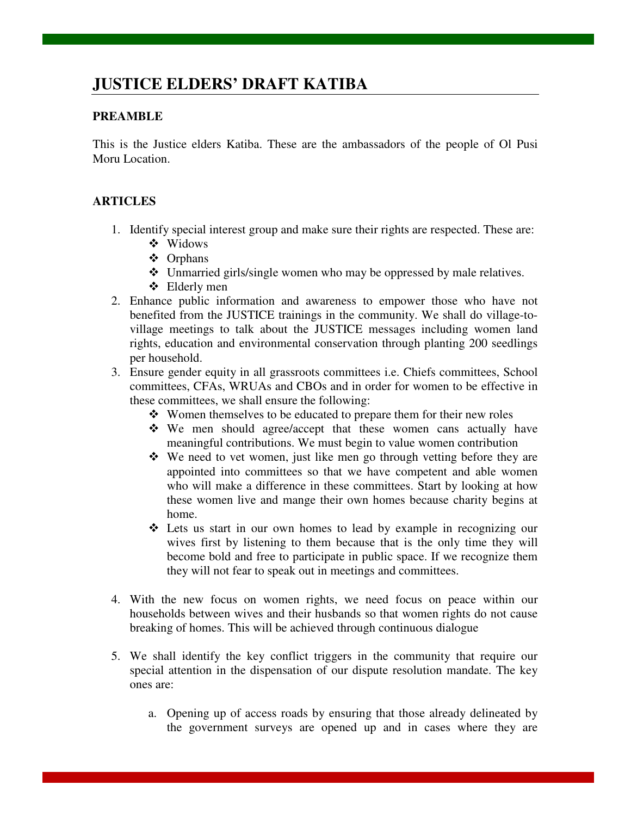## **JUSTICE ELDERS' DRAFT KATIBA**

## **PREAMBLE**

This is the Justice elders Katiba. These are the ambassadors of the people of Ol Pusi Moru Location.

## **ARTICLES**

- 1. Identify special interest group and make sure their rights are respected. These are:
	- Widows
	- Orphans
	- Unmarried girls/single women who may be oppressed by male relatives.
	- Elderly men
- 2. Enhance public information and awareness to empower those who have not benefited from the JUSTICE trainings in the community. We shall do village-tovillage meetings to talk about the JUSTICE messages including women land rights, education and environmental conservation through planting 200 seedlings per household.
- 3. Ensure gender equity in all grassroots committees i.e. Chiefs committees, School committees, CFAs, WRUAs and CBOs and in order for women to be effective in these committees, we shall ensure the following:
	- Women themselves to be educated to prepare them for their new roles
	- We men should agree/accept that these women cans actually have meaningful contributions. We must begin to value women contribution
	- $\cdot \cdot \cdot$  We need to vet women, just like men go through vetting before they are appointed into committees so that we have competent and able women who will make a difference in these committees. Start by looking at how these women live and mange their own homes because charity begins at home.
	- Lets us start in our own homes to lead by example in recognizing our wives first by listening to them because that is the only time they will become bold and free to participate in public space. If we recognize them they will not fear to speak out in meetings and committees.
- 4. With the new focus on women rights, we need focus on peace within our households between wives and their husbands so that women rights do not cause breaking of homes. This will be achieved through continuous dialogue
- 5. We shall identify the key conflict triggers in the community that require our special attention in the dispensation of our dispute resolution mandate. The key ones are:
	- a. Opening up of access roads by ensuring that those already delineated by the government surveys are opened up and in cases where they are